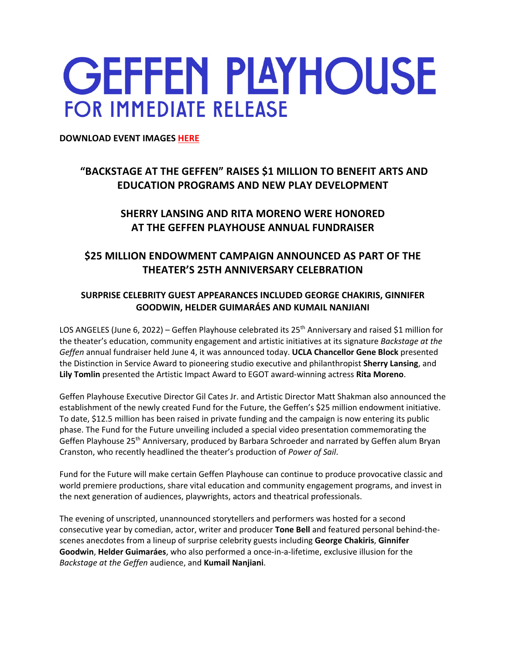# **GEFFEN PLAYHOUSE FOR IMMEDIATE RELEASE**

**DOWNLOAD EVENT IMAGES HERE**

## **"BACKSTAGE AT THE GEFFEN" RAISES \$1 MILLION TO BENEFIT ARTS AND EDUCATION PROGRAMS AND NEW PLAY DEVELOPMENT**

## **SHERRY LANSING AND RITA MORENO WERE HONORED AT THE GEFFEN PLAYHOUSE ANNUAL FUNDRAISER**

## **\$25 MILLION ENDOWMENT CAMPAIGN ANNOUNCED AS PART OF THE THEATER'S 25TH ANNIVERSARY CELEBRATION**

### **SURPRISE CELEBRITY GUEST APPEARANCES INCLUDED GEORGE CHAKIRIS, GINNIFER GOODWIN, HELDER GUIMARÁES AND KUMAIL NANJIANI**

LOS ANGELES (June 6, 2022) – Geffen Playhouse celebrated its 25<sup>th</sup> Anniversary and raised \$1 million for the theater's education, community engagement and artistic initiatives at its signature *Backstage at the Geffen* annual fundraiser held June 4, it was announced today. **UCLA Chancellor Gene Block** presented the Distinction in Service Award to pioneering studio executive and philanthropist **Sherry Lansing**, and **Lily Tomlin** presented the Artistic Impact Award to EGOT award-winning actress **Rita Moreno**.

Geffen Playhouse Executive Director Gil Cates Jr. and Artistic Director Matt Shakman also announced the establishment of the newly created Fund for the Future, the Geffen's \$25 million endowment initiative. To date, \$12.5 million has been raised in private funding and the campaign is now entering its public phase. The Fund for the Future unveiling included a special video presentation commemorating the Geffen Playhouse 25<sup>th</sup> Anniversary, produced by Barbara Schroeder and narrated by Geffen alum Bryan Cranston, who recently headlined the theater's production of *Power of Sail*.

Fund for the Future will make certain Geffen Playhouse can continue to produce provocative classic and world premiere productions, share vital education and community engagement programs, and invest in the next generation of audiences, playwrights, actors and theatrical professionals.

The evening of unscripted, unannounced storytellers and performers was hosted for a second consecutive year by comedian, actor, writer and producer **Tone Bell** and featured personal behind-thescenes anecdotes from a lineup of surprise celebrity guests including **George Chakiris**, **Ginnifer Goodwin**, **Helder Guimaráes**, who also performed a once-in-a-lifetime, exclusive illusion for the *Backstage at the Geffen* audience, and **Kumail Nanjiani**.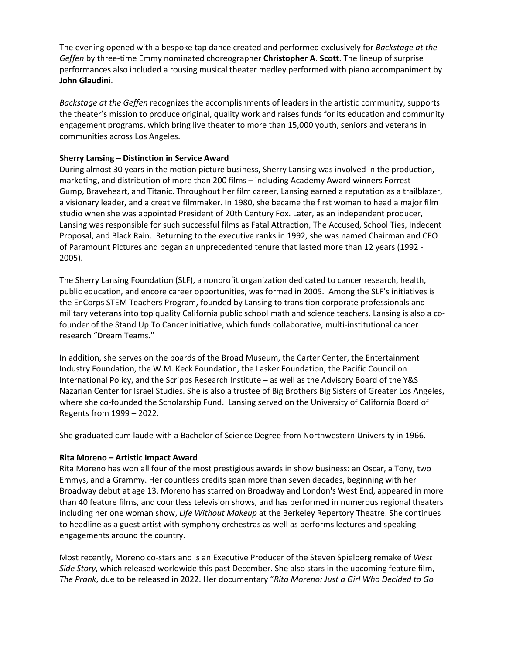The evening opened with a bespoke tap dance created and performed exclusively for *Backstage at the Geffen* by three-time Emmy nominated choreographer **Christopher A. Scott**. The lineup of surprise performances also included a rousing musical theater medley performed with piano accompaniment by **John Glaudini**.

*Backstage at the Geffen* recognizes the accomplishments of leaders in the artistic community, supports the theater's mission to produce original, quality work and raises funds for its education and community engagement programs, which bring live theater to more than 15,000 youth, seniors and veterans in communities across Los Angeles.

#### **Sherry Lansing – Distinction in Service Award**

During almost 30 years in the motion picture business, Sherry Lansing was involved in the production, marketing, and distribution of more than 200 films – including Academy Award winners Forrest Gump, Braveheart, and Titanic. Throughout her film career, Lansing earned a reputation as a trailblazer, a visionary leader, and a creative filmmaker. In 1980, she became the first woman to head a major film studio when she was appointed President of 20th Century Fox. Later, as an independent producer, Lansing was responsible for such successful films as Fatal Attraction, The Accused, School Ties, Indecent Proposal, and Black Rain. Returning to the executive ranks in 1992, she was named Chairman and CEO of Paramount Pictures and began an unprecedented tenure that lasted more than 12 years (1992 - 2005).

The Sherry Lansing Foundation (SLF), a nonprofit organization dedicated to cancer research, health, public education, and encore career opportunities, was formed in 2005. Among the SLF's initiatives is the EnCorps STEM Teachers Program, founded by Lansing to transition corporate professionals and military veterans into top quality California public school math and science teachers. Lansing is also a cofounder of the Stand Up To Cancer initiative, which funds collaborative, multi-institutional cancer research "Dream Teams."

In addition, she serves on the boards of the Broad Museum, the Carter Center, the Entertainment Industry Foundation, the W.M. Keck Foundation, the Lasker Foundation, the Pacific Council on International Policy, and the Scripps Research Institute – as well as the Advisory Board of the Y&S Nazarian Center for Israel Studies. She is also a trustee of Big Brothers Big Sisters of Greater Los Angeles, where she co-founded the Scholarship Fund. Lansing served on the University of California Board of Regents from 1999 – 2022.

She graduated cum laude with a Bachelor of Science Degree from Northwestern University in 1966.

#### **Rita Moreno – Artistic Impact Award**

Rita Moreno has won all four of the most prestigious awards in show business: an Oscar, a Tony, two Emmys, and a Grammy. Her countless credits span more than seven decades, beginning with her Broadway debut at age 13. Moreno has starred on Broadway and London's West End, appeared in more than 40 feature films, and countless television shows, and has performed in numerous regional theaters including her one woman show, *Life Without Makeup* at the Berkeley Repertory Theatre. She continues to headline as a guest artist with symphony orchestras as well as performs lectures and speaking engagements around the country.

Most recently, Moreno co-stars and is an Executive Producer of the Steven Spielberg remake of *West Side Story*, which released worldwide this past December. She also stars in the upcoming feature film, *The Prank*, due to be released in 2022. Her documentary "*Rita Moreno: Just a Girl Who Decided to Go*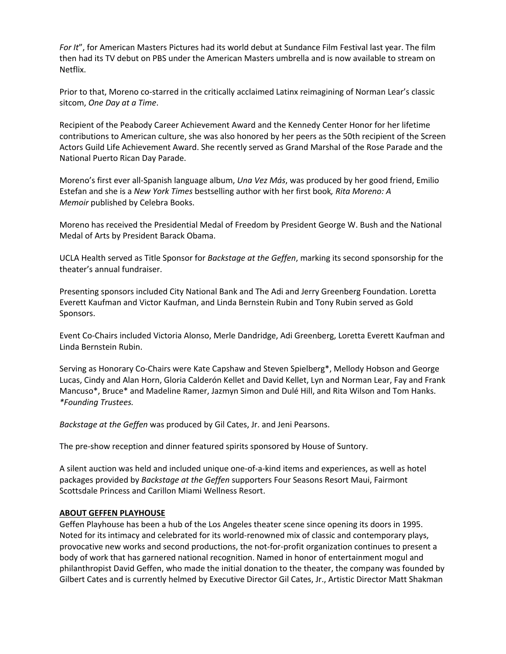*For It*", for American Masters Pictures had its world debut at Sundance Film Festival last year. The film then had its TV debut on PBS under the American Masters umbrella and is now available to stream on Netflix.

Prior to that, Moreno co-starred in the critically acclaimed Latinx reimagining of Norman Lear's classic sitcom, *One Day at a Time*.

Recipient of the Peabody Career Achievement Award and the Kennedy Center Honor for her lifetime contributions to American culture, she was also honored by her peers as the 50th recipient of the Screen Actors Guild Life Achievement Award. She recently served as Grand Marshal of the Rose Parade and the National Puerto Rican Day Parade.

Moreno's first ever all-Spanish language album, *Una Vez Más*, was produced by her good friend, Emilio Estefan and she is a *New York Times* bestselling author with her first book*, Rita Moreno: A Memoir* published by Celebra Books.

Moreno has received the Presidential Medal of Freedom by President George W. Bush and the National Medal of Arts by President Barack Obama.

UCLA Health served as Title Sponsor for *Backstage at the Geffen*, marking its second sponsorship for the theater's annual fundraiser.

Presenting sponsors included City National Bank and The Adi and Jerry Greenberg Foundation. Loretta Everett Kaufman and Victor Kaufman, and Linda Bernstein Rubin and Tony Rubin served as Gold Sponsors.

Event Co-Chairs included Victoria Alonso, Merle Dandridge, Adi Greenberg, Loretta Everett Kaufman and Linda Bernstein Rubin.

Serving as Honorary Co-Chairs were Kate Capshaw and Steven Spielberg\*, Mellody Hobson and George Lucas, Cindy and Alan Horn, Gloria Calderón Kellet and David Kellet, Lyn and Norman Lear, Fay and Frank Mancuso\*, Bruce\* and Madeline Ramer, Jazmyn Simon and Dulé Hill, and Rita Wilson and Tom Hanks. *\*Founding Trustees.*

*Backstage at the Geffen* was produced by Gil Cates, Jr. and Jeni Pearsons.

The pre-show reception and dinner featured spirits sponsored by House of Suntory.

A silent auction was held and included unique one-of-a-kind items and experiences, as well as hotel packages provided by *Backstage at the Geffen* supporters Four Seasons Resort Maui, Fairmont Scottsdale Princess and Carillon Miami Wellness Resort.

#### **ABOUT GEFFEN PLAYHOUSE**

Geffen Playhouse has been a hub of the Los Angeles theater scene since opening its doors in 1995. Noted for its intimacy and celebrated for its world-renowned mix of classic and contemporary plays, provocative new works and second productions, the not-for-profit organization continues to present a body of work that has garnered national recognition. Named in honor of entertainment mogul and philanthropist David Geffen, who made the initial donation to the theater, the company was founded by Gilbert Cates and is currently helmed by Executive Director Gil Cates, Jr., Artistic Director Matt Shakman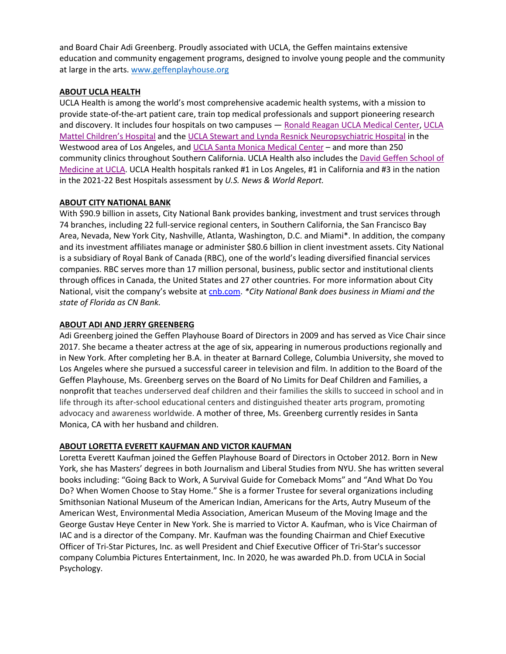and Board Chair Adi Greenberg. Proudly associated with UCLA, the Geffen maintains extensive education and community engagement programs, designed to involve young people and the community at large in the arts. www.geffenplayhouse.org

#### **ABOUT UCLA HEALTH**

UCLA Health is among the world's most comprehensive academic health systems, with a mission to provide state-of-the-art patient care, train top medical professionals and support pioneering research and discovery. It includes four hospitals on two campuses - Ronald Reagan UCLA Medical Center, UCLA Mattel Children's Hospital and the UCLA Stewart and Lynda Resnick Neuropsychiatric Hospital in the Westwood area of Los Angeles, and UCLA Santa Monica Medical Center – and more than 250 community clinics throughout Southern California. UCLA Health also includes the David Geffen School of Medicine at UCLA. UCLA Health hospitals ranked #1 in Los Angeles, #1 in California and #3 in the nation in the 2021-22 Best Hospitals assessment by *U.S. News & World Report.*

#### **ABOUT CITY NATIONAL BANK**

With \$90.9 billion in assets, City National Bank provides banking, investment and trust services through 74 branches, including 22 full-service regional centers, in Southern California, the San Francisco Bay Area, Nevada, New York City, Nashville, Atlanta, Washington, D.C. and Miami\*. In addition, the company and its investment affiliates manage or administer \$80.6 billion in client investment assets. City National is a subsidiary of Royal Bank of Canada (RBC), one of the world's leading diversified financial services companies. RBC serves more than 17 million personal, business, public sector and institutional clients through offices in Canada, the United States and 27 other countries. For more information about City National, visit the company's website at cnb.com. *\*City National Bank does business in Miami and the state of Florida as CN Bank.*

#### **ABOUT ADI AND JERRY GREENBERG**

Adi Greenberg joined the Geffen Playhouse Board of Directors in 2009 and has served as Vice Chair since 2017. She became a theater actress at the age of six, appearing in numerous productions regionally and in New York. After completing her B.A. in theater at Barnard College, Columbia University, she moved to Los Angeles where she pursued a successful career in television and film. In addition to the Board of the Geffen Playhouse, Ms. Greenberg serves on the Board of No Limits for Deaf Children and Families, a nonprofit that teaches underserved deaf children and their families the skills to succeed in school and in life through its after-school educational centers and distinguished theater arts program, promoting advocacy and awareness worldwide. A mother of three, Ms. Greenberg currently resides in Santa Monica, CA with her husband and children.

#### **ABOUT LORETTA EVERETT KAUFMAN AND VICTOR KAUFMAN**

Loretta Everett Kaufman joined the Geffen Playhouse Board of Directors in October 2012. Born in New York, she has Masters' degrees in both Journalism and Liberal Studies from NYU. She has written several books including: "Going Back to Work, A Survival Guide for Comeback Moms" and "And What Do You Do? When Women Choose to Stay Home." She is a former Trustee for several organizations including Smithsonian National Museum of the American Indian, Americans for the Arts, Autry Museum of the American West, Environmental Media Association, American Museum of the Moving Image and the George Gustav Heye Center in New York. She is married to Victor A. Kaufman, who is Vice Chairman of IAC and is a director of the Company. Mr. Kaufman was the founding Chairman and Chief Executive Officer of Tri-Star Pictures, Inc. as well President and Chief Executive Officer of Tri-Star's successor company Columbia Pictures Entertainment, Inc. In 2020, he was awarded Ph.D. from UCLA in Social Psychology.